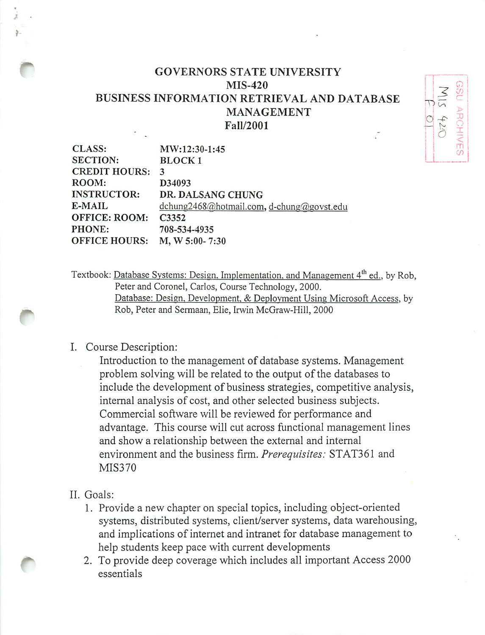## GOVERNORS STATE UNIVERSITY MIS-420 BUSINESS INFORMATION RETRIEVAL AND DATABASE MANAGEMENT Fall/2001

 $\overline{D}$ 

*CO c*

*X I < m*

 $O +$ 

| <b>CLASS:</b>        | MW:12:30-1:45                             |
|----------------------|-------------------------------------------|
| <b>SECTION:</b>      | <b>BLOCK1</b>                             |
| <b>CREDIT HOURS:</b> | 3                                         |
| ROOM:                | D34093                                    |
| <b>INSTRUCTOR:</b>   | DR. DALSANG CHUNG                         |
| E-MAIL               | dchung2468@hotmail.com, d-chung@govst.edu |
| <b>OFFICE: ROOM:</b> | C3352                                     |
| PHONE:               | 708-534-4935                              |
| <b>OFFICE HOURS:</b> | $M, W 5:00 - 7:30$                        |

Textbook: Database Systems: Design, Implementation, and Management 4<sup>th</sup> ed., by Rob, Peter and Coronel, Carlos, Course Technology, 2000. Database: Design. Development. & Deployment Using Microsoft Access, by Rob, Peter and Sermaan, Elie, Irwin McGraw-Hill, 2000

## I. Course Description:

Introduction to the management of database systems. Management problem solving will be related to the output of the databases to include the development of business strategies, competitive analysis, internal analysis of cost, and other selected business subjects. Commercial software will be reviewed for performance and advantage. This course will cut across functional management lines and show a relationship between the external and internal environment and the business firm. **Prerequisites:** STAT361 and MIS370

## II. Goals:

- 1. Provide a new chapter on special topics, including object-oriented systems, distributed systems, client/server systems, data warehousing, and implications of internet and intranet for database management to help students keep pace with current developments
- 2. To provide deep coverage which includes all important Access 2000 essentials